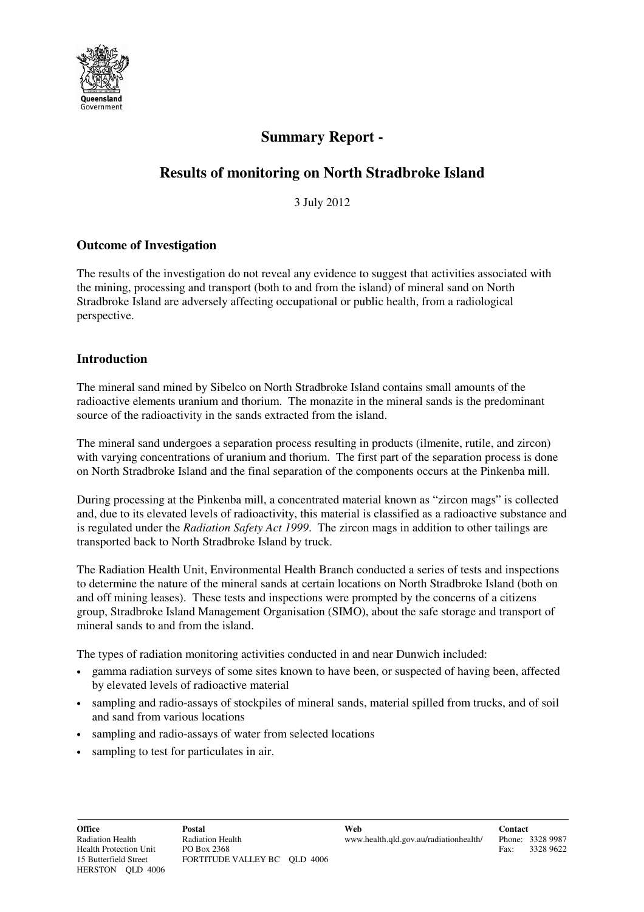

# **Summary Report -**

# **Results of monitoring on North Stradbroke Island**

3 July 2012

# **Outcome of Investigation**

The results of the investigation do not reveal any evidence to suggest that activities associated with the mining, processing and transport (both to and from the island) of mineral sand on North Stradbroke Island are adversely affecting occupational or public health, from a radiological perspective.

# **Introduction**

The mineral sand mined by Sibelco on North Stradbroke Island contains small amounts of the radioactive elements uranium and thorium. The monazite in the mineral sands is the predominant source of the radioactivity in the sands extracted from the island.

The mineral sand undergoes a separation process resulting in products (ilmenite, rutile, and zircon) with varying concentrations of uranium and thorium. The first part of the separation process is done on North Stradbroke Island and the final separation of the components occurs at the Pinkenba mill.

During processing at the Pinkenba mill, a concentrated material known as "zircon mags" is collected and, due to its elevated levels of radioactivity, this material is classified as a radioactive substance and is regulated under the *Radiation Safety Act 1999*. The zircon mags in addition to other tailings are transported back to North Stradbroke Island by truck.

The Radiation Health Unit, Environmental Health Branch conducted a series of tests and inspections to determine the nature of the mineral sands at certain locations on North Stradbroke Island (both on and off mining leases). These tests and inspections were prompted by the concerns of a citizens group, Stradbroke Island Management Organisation (SIMO), about the safe storage and transport of mineral sands to and from the island.

The types of radiation monitoring activities conducted in and near Dunwich included:

- gamma radiation surveys of some sites known to have been, or suspected of having been, affected by elevated levels of radioactive material
- sampling and radio-assays of stockpiles of mineral sands, material spilled from trucks, and of soil and sand from various locations
- sampling and radio-assays of water from selected locations
- sampling to test for particulates in air.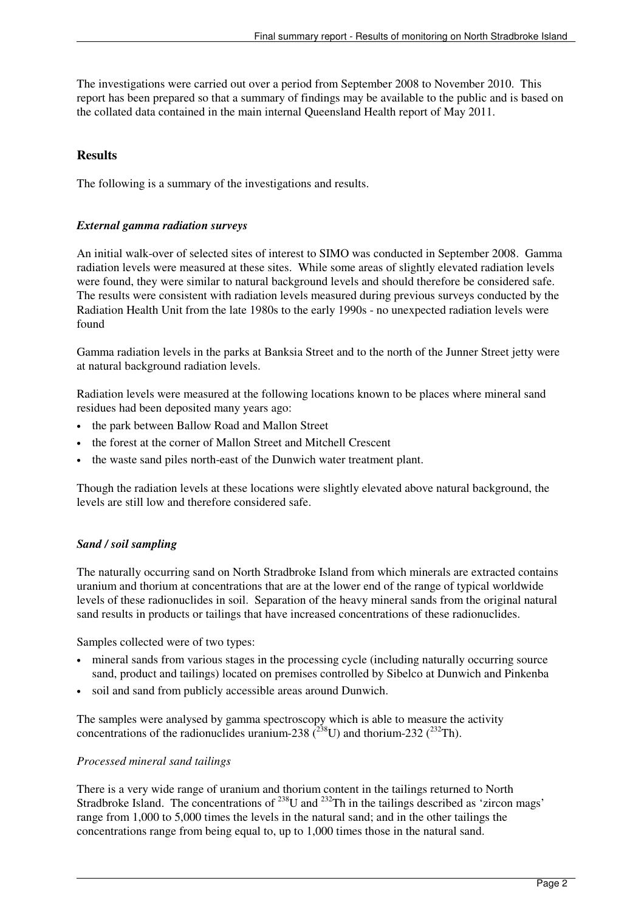The investigations were carried out over a period from September 2008 to November 2010. This report has been prepared so that a summary of findings may be available to the public and is based on the collated data contained in the main internal Queensland Health report of May 2011.

## **Results**

The following is a summary of the investigations and results.

#### *External gamma radiation surveys*

An initial walk-over of selected sites of interest to SIMO was conducted in September 2008. Gamma radiation levels were measured at these sites. While some areas of slightly elevated radiation levels were found, they were similar to natural background levels and should therefore be considered safe. The results were consistent with radiation levels measured during previous surveys conducted by the Radiation Health Unit from the late 1980s to the early 1990s - no unexpected radiation levels were found

Gamma radiation levels in the parks at Banksia Street and to the north of the Junner Street jetty were at natural background radiation levels.

Radiation levels were measured at the following locations known to be places where mineral sand residues had been deposited many years ago:

- the park between Ballow Road and Mallon Street
- the forest at the corner of Mallon Street and Mitchell Crescent
- the waste sand piles north-east of the Dunwich water treatment plant.

Though the radiation levels at these locations were slightly elevated above natural background, the levels are still low and therefore considered safe.

## *Sand / soil sampling*

The naturally occurring sand on North Stradbroke Island from which minerals are extracted contains uranium and thorium at concentrations that are at the lower end of the range of typical worldwide levels of these radionuclides in soil. Separation of the heavy mineral sands from the original natural sand results in products or tailings that have increased concentrations of these radionuclides.

Samples collected were of two types:

- mineral sands from various stages in the processing cycle (including naturally occurring source sand, product and tailings) located on premises controlled by Sibelco at Dunwich and Pinkenba
- soil and sand from publicly accessible areas around Dunwich.

The samples were analysed by gamma spectroscopy which is able to measure the activity concentrations of the radionuclides uranium-238  $\lambda^{238}$ U) and thorium-232  $\lambda^{232}$ Th).

#### *Processed mineral sand tailings*

There is a very wide range of uranium and thorium content in the tailings returned to North Stradbroke Island. The concentrations of <sup>238</sup>U and <sup>232</sup>Th in the tailings described as 'zircon mags' range from 1,000 to 5,000 times the levels in the natural sand; and in the other tailings the concentrations range from being equal to, up to 1,000 times those in the natural sand.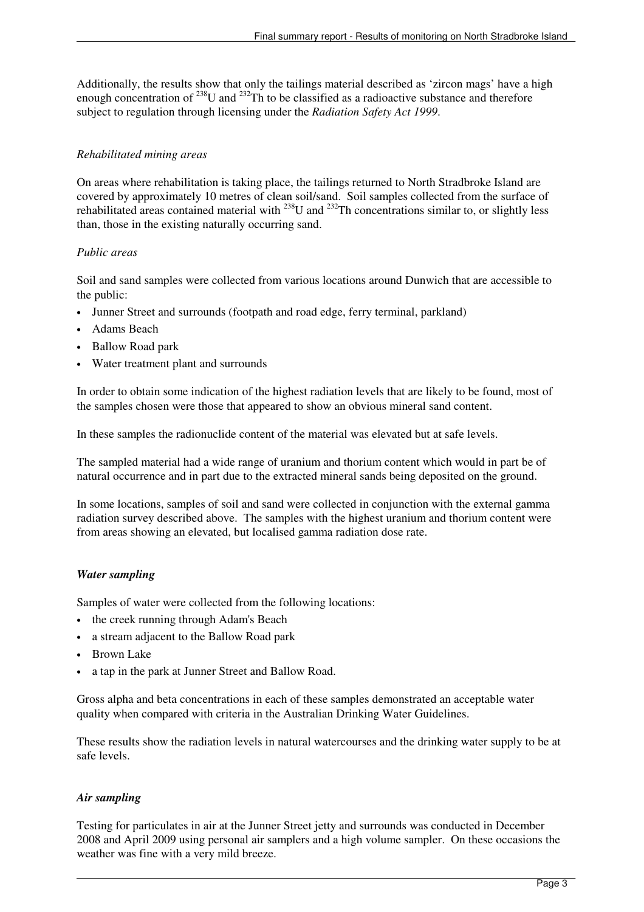Additionally, the results show that only the tailings material described as 'zircon mags' have a high enough concentration of  $^{238}$ U and  $^{232}$ Th to be classified as a radioactive substance and therefore subject to regulation through licensing under the *Radiation Safety Act 1999*.

## *Rehabilitated mining areas*

On areas where rehabilitation is taking place, the tailings returned to North Stradbroke Island are covered by approximately 10 metres of clean soil/sand. Soil samples collected from the surface of rehabilitated areas contained material with <sup>238</sup>U and <sup>232</sup>Th concentrations similar to, or slightly less than, those in the existing naturally occurring sand.

## *Public areas*

Soil and sand samples were collected from various locations around Dunwich that are accessible to the public:

- Junner Street and surrounds (footpath and road edge, ferry terminal, parkland)
- Adams Beach
- Ballow Road park
- Water treatment plant and surrounds

In order to obtain some indication of the highest radiation levels that are likely to be found, most of the samples chosen were those that appeared to show an obvious mineral sand content.

In these samples the radionuclide content of the material was elevated but at safe levels.

The sampled material had a wide range of uranium and thorium content which would in part be of natural occurrence and in part due to the extracted mineral sands being deposited on the ground.

In some locations, samples of soil and sand were collected in conjunction with the external gamma radiation survey described above. The samples with the highest uranium and thorium content were from areas showing an elevated, but localised gamma radiation dose rate.

## *Water sampling*

Samples of water were collected from the following locations:

- the creek running through Adam's Beach
- a stream adjacent to the Ballow Road park
- Brown Lake
- a tap in the park at Junner Street and Ballow Road.

Gross alpha and beta concentrations in each of these samples demonstrated an acceptable water quality when compared with criteria in the Australian Drinking Water Guidelines.

These results show the radiation levels in natural watercourses and the drinking water supply to be at safe levels.

## *Air sampling*

Testing for particulates in air at the Junner Street jetty and surrounds was conducted in December 2008 and April 2009 using personal air samplers and a high volume sampler. On these occasions the weather was fine with a very mild breeze.